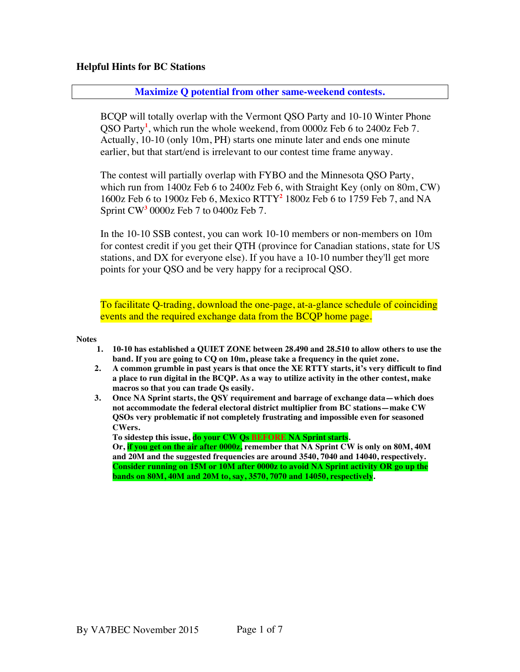## **Helpful Hints for BC Stations**

### **Maximize Q potential from other same-weekend contests.**

BCQP will totally overlap with the Vermont QSO Party and 10-10 Winter Phone QSO Party**<sup>1</sup>** , which run the whole weekend, from 0000z Feb 6 to 2400z Feb 7. Actually, 10-10 (only 10m, PH) starts one minute later and ends one minute earlier, but that start/end is irrelevant to our contest time frame anyway.

The contest will partially overlap with FYBO and the Minnesota QSO Party, which run from 1400z Feb 6 to 2400z Feb 6, with Straight Key (only on 80m, CW) 1600z Feb 6 to 1900z Feb 6, Mexico RTTY**<sup>2</sup>** 1800z Feb 6 to 1759 Feb 7, and NA Sprint CW**<sup>3</sup>** 0000z Feb 7 to 0400z Feb 7.

In the 10-10 SSB contest, you can work 10-10 members or non-members on 10m for contest credit if you get their QTH (province for Canadian stations, state for US stations, and DX for everyone else). If you have a 10-10 number they'll get more points for your QSO and be very happy for a reciprocal QSO.

[To facilitate Q-trading, download the one-page, at-a-glance schedule of coinciding](http://www.orcadxcc.org/content/pdf/excel_sked_2016.pdf) events and the required exchange data from the BCQP home page.

#### **Notes**

- **1. 10-10 has established a QUIET ZONE between 28.490 and 28.510 to allow others to use the band. If you are going to CQ on 10m, please take a frequency in the quiet zone.**
- **2. A common grumble in past years is that once the XE RTTY starts, it's very difficult to find a place to run digital in the BCQP. As a way to utilize activity in the other contest, make macros so that you can trade Qs easily.**
- **3. Once NA Sprint starts, the QSY requirement and barrage of exchange data—which does not accommodate the federal electoral district multiplier from BC stations—make CW QSOs very problematic if not completely frustrating and impossible even for seasoned CWers.**

**To sidestep this issue, do your CW Qs BEFORE NA Sprint starts. Or, if you get on the air after 0000z, remember that NA Sprint CW is only on 80M, 40M and 20M and the suggested frequencies are around 3540, 7040 and 14040, respectively. Consider running on 15M or 10M after 0000z to avoid NA Sprint activity OR go up the bands on 80M, 40M and 20M to, say, 3570, 7070 and 14050, respectively.**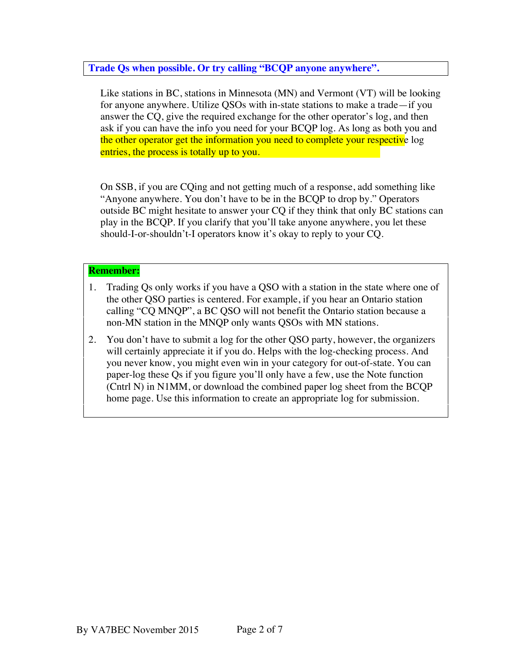# **Trade Qs when possible. Or try calling "BCQP anyone anywhere".**

Like stations in BC, stations in Minnesota (MN) and Vermont (VT) will be looking for anyone anywhere. Utilize QSOs with in-state stations to make a trade—if you answer the CQ, give the required exchange for the other operator's log, and then ask if you can have the info you need for your BCQP log. As long as both you and the other operator get the information you need to complete your respective log entries, the process is totally up to you.

On SSB, if you are CQing and not getting much of a response, add something like "Anyone anywhere. You don't have to be in the BCQP to drop by." Operators outside BC might hesitate to answer your CQ if they think that only BC stations can play in the BCQP. If you clarify that you'll take anyone anywhere, you let these should-I-or-shouldn't-I operators know it's okay to reply to your CQ.

# **Remember:**

- 1. Trading Qs only works if you have a QSO with a station in the state where one of the other QSO parties is centered. For example, if you hear an Ontario station calling "CQ MNQP", a BC QSO will not benefit the Ontario station because a non-MN station in the MNQP only wants QSOs with MN stations.
- 2. You don't have to submit a log for the other QSO party, however, the organizers will certainly appreciate it if you do. Helps with the log-checking process. And you never know, you might even win in your category for out-of-state. You can paper-log these Qs if you figure you'll only have a few, use the Note function (Cntrl N) in N1MM, or download the combined paper log sheet from the BCQP home page. Use this information to create an appropriate log for submission.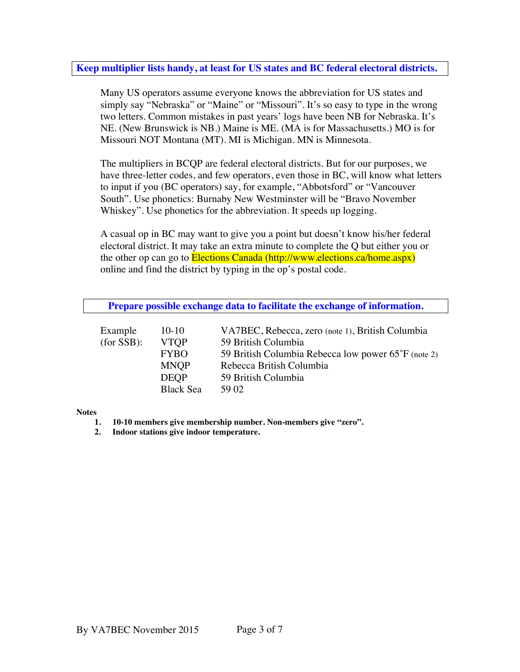# **Keep multiplier lists handy, at least for US states and BC federal electoral districts.**

Many US operators assume everyone knows the abbreviation for US states and simply say "Nebraska" or "Maine" or "Missouri". It's so easy to type in the wrong two letters. Common mistakes in past years' logs have been NB for Nebraska. It's NE. (New Brunswick is NB.) Maine is ME. (MA is for Massachusetts.) MO is for Missouri NOT Montana (MT). MI is Michigan. MN is Minnesota.

The multipliers in BCQP are federal electoral districts. But for our purposes, we have three-letter codes, and few operators, even those in BC, will know what letters to input if you (BC operators) say, for example, "Abbotsford" or "Vancouver South". Use phonetics: Burnaby New Westminster will be "Bravo November Whiskey". Use phonetics for the abbreviation. It speeds up logging.

A casual op in BC may want to give you a point but doesn't know his/her federal electoral district. It may take an extra minute to complete the Q but either you or the other op can go to **Elections Canada (http://www.elections.ca/home.aspx)** online and find the district by typing in the op's postal code.

| Prepare possible exchange data to facilitate the exchange of information. |                  |                                                     |  |
|---------------------------------------------------------------------------|------------------|-----------------------------------------------------|--|
| Example                                                                   | $10-10$          | VA7BEC, Rebecca, zero (note 1), British Columbia    |  |
| (for SSB):                                                                | <b>VTOP</b>      | 59 British Columbia                                 |  |
|                                                                           | <b>FYBO</b>      | 59 British Columbia Rebecca low power 65°F (note 2) |  |
|                                                                           | <b>MNOP</b>      | Rebecca British Columbia                            |  |
|                                                                           | <b>DEOP</b>      | 59 British Columbia                                 |  |
|                                                                           | <b>Black Sea</b> | 59 O <sub>2</sub>                                   |  |

**Notes**

- **1. 10-10 members give membership number. Non-members give "zero".**
- **2. Indoor stations give indoor temperature.**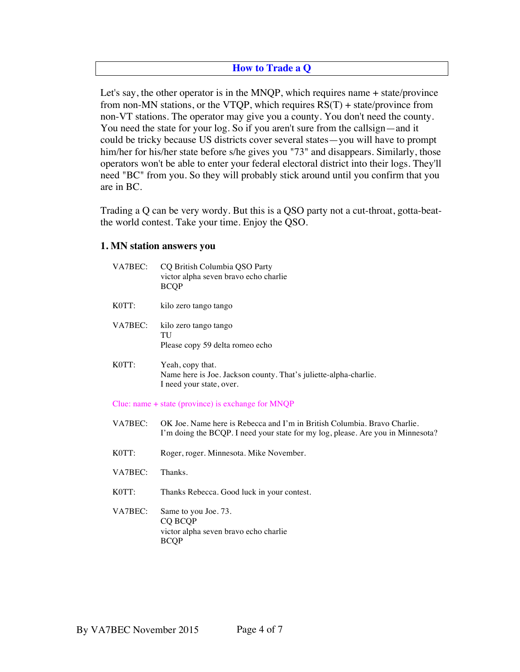# **How to Trade a Q**

Let's say, the other operator is in the MNQP, which requires name + state/province from non-MN stations, or the VTQP, which requires  $RS(T)$  + state/province from non-VT stations. The operator may give you a county. You don't need the county. You need the state for your log. So if you aren't sure from the callsign—and it could be tricky because US districts cover several states—you will have to prompt him/her for his/her state before s/he gives you "73" and disappears. Similarly, those operators won't be able to enter your federal electoral district into their logs. They'll need "BC" from you. So they will probably stick around until you confirm that you are in BC.

Trading a Q can be very wordy. But this is a QSO party not a cut-throat, gotta-beatthe world contest. Take your time. Enjoy the QSO.

### **1. MN station answers you**

| VA7BEC: | CQ British Columbia QSO Party<br>victor alpha seven bravo echo charlie<br><b>BCQP</b>                                                                       |  |  |
|---------|-------------------------------------------------------------------------------------------------------------------------------------------------------------|--|--|
| K0TT:   | kilo zero tango tango                                                                                                                                       |  |  |
| VA7BEC: | kilo zero tango tango<br>TU<br>Please copy 59 delta romeo echo                                                                                              |  |  |
| K0TT:   | Yeah, copy that.<br>Name here is Joe. Jackson county. That's juliette-alpha-charlie.<br>I need your state, over.                                            |  |  |
|         | Clue: name $+$ state (province) is exchange for MNQP                                                                                                        |  |  |
| VA7BEC: | OK Joe. Name here is Rebecca and I'm in British Columbia. Bravo Charlie.<br>I'm doing the BCQP. I need your state for my log, please. Are you in Minnesota? |  |  |
| K0TT:   | Roger, roger. Minnesota. Mike November.                                                                                                                     |  |  |
| VA7BEC: | Thanks.                                                                                                                                                     |  |  |
| K0TT:   | Thanks Rebecca. Good luck in your contest.                                                                                                                  |  |  |

VA7BEC: Same to you Joe. 73. CQ BCQP victor alpha seven bravo echo charlie BCQP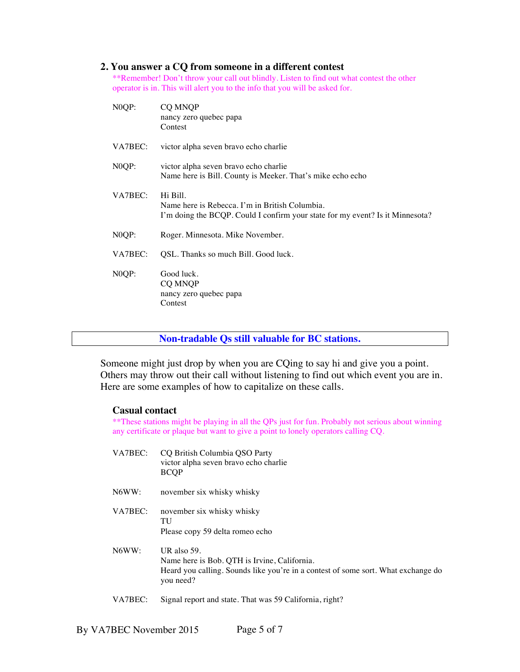#### **2. You answer a CQ from someone in a different contest**

\*\*Remember! Don't throw your call out blindly. Listen to find out what contest the other operator is in. This will alert you to the info that you will be asked for.

| NOQP:              | <b>CO MNOP</b><br>nancy zero quebec papa<br>Contest                                                                                         |  |
|--------------------|---------------------------------------------------------------------------------------------------------------------------------------------|--|
| VA7BEC:            | victor alpha seven bravo echo charlie                                                                                                       |  |
| N <sub>0</sub> QP: | victor alpha seven bravo echo charlie<br>Name here is Bill. County is Meeker. That's mike echo echo                                         |  |
| VA7BEC:            | Hi Bill.<br>Name here is Rebecca. I'm in British Columbia.<br>I'm doing the BCQP. Could I confirm your state for my event? Is it Minnesota? |  |
| N <sub>0</sub> QP: | Roger. Minnesota. Mike November.                                                                                                            |  |
| VA7BEC:            | QSL. Thanks so much Bill. Good luck.                                                                                                        |  |
| N <sub>0</sub> QP: | Good luck.<br>CQ MNQP<br>nancy zero quebec papa<br>Contest                                                                                  |  |

**Non-tradable Qs still valuable for BC stations.**

Someone might just drop by when you are CQing to say hi and give you a point. Others may throw out their call without listening to find out which event you are in. Here are some examples of how to capitalize on these calls.

### **Casual contact**

\*\*These stations might be playing in all the QPs just for fun. Probably not serious about winning any certificate or plaque but want to give a point to lonely operators calling CQ.

- VA7BEC: CQ British Columbia QSO Party victor alpha seven bravo echo charlie BCQP
- N6WW: november six whisky whisky
- VA7BEC: november six whisky whisky TU Please copy 59 delta romeo echo
- N6WW: UR also 59. Name here is Bob. QTH is Irvine, California. Heard you calling. Sounds like you're in a contest of some sort. What exchange do you need?
- VA7BEC: Signal report and state. That was 59 California, right?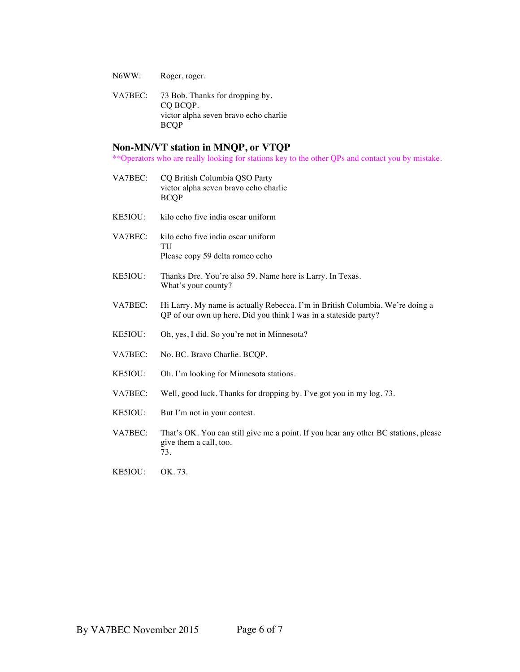- N6WW: Roger, roger.
- VA7BEC: 73 Bob. Thanks for dropping by. CQ BCQP. victor alpha seven bravo echo charlie BCQP

#### **Non-MN/VT station in MNQP, or VTQP**

\*\*Operators who are really looking for stations key to the other QPs and contact you by mistake.

- VA7BEC: CQ British Columbia QSO Party victor alpha seven bravo echo charlie BCQP
- KE5IOU: kilo echo five india oscar uniform
- VA7BEC: kilo echo five india oscar uniform TU Please copy 59 delta romeo echo
- KE5IOU: Thanks Dre. You're also 59. Name here is Larry. In Texas. What's your county?
- VA7BEC: Hi Larry. My name is actually Rebecca. I'm in British Columbia. We're doing a QP of our own up here. Did you think I was in a stateside party?
- KE5IOU: Oh, yes, I did. So you're not in Minnesota?
- VA7BEC: No. BC. Bravo Charlie. BCQP.
- KE5IOU: Oh. I'm looking for Minnesota stations.
- VA7BEC: Well, good luck. Thanks for dropping by. I've got you in my log. 73.
- KE5IOU: But I'm not in your contest.
- VA7BEC: That's OK. You can still give me a point. If you hear any other BC stations, please give them a call, too. 73.
- KE5IOU: OK. 73.